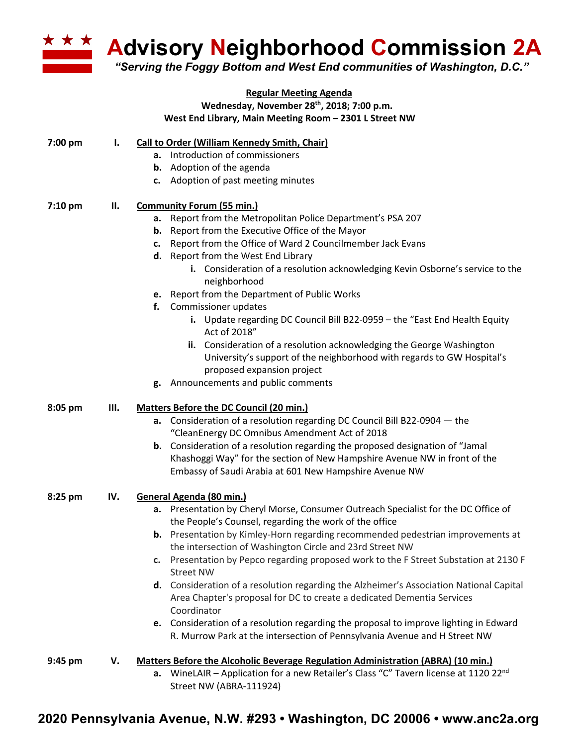

**Advisory Neighborhood Commission 2A**

*"Serving the Foggy Bottom and West End communities of Washington, D.C."*

|         |     | <b>Regular Meeting Agenda</b>                                                                                                                                                 |
|---------|-----|-------------------------------------------------------------------------------------------------------------------------------------------------------------------------------|
|         |     | Wednesday, November 28th, 2018; 7:00 p.m.                                                                                                                                     |
|         |     | West End Library, Main Meeting Room - 2301 L Street NW                                                                                                                        |
| 7:00 pm | ı.  | Call to Order (William Kennedy Smith, Chair)                                                                                                                                  |
|         |     | a. Introduction of commissioners                                                                                                                                              |
|         |     | <b>b.</b> Adoption of the agenda                                                                                                                                              |
|         |     | Adoption of past meeting minutes<br>c.                                                                                                                                        |
| 7:10 pm | П.  | <b>Community Forum (55 min.)</b>                                                                                                                                              |
|         |     | Report from the Metropolitan Police Department's PSA 207<br>а.                                                                                                                |
|         |     | Report from the Executive Office of the Mayor<br>b.                                                                                                                           |
|         |     | Report from the Office of Ward 2 Councilmember Jack Evans<br>c.                                                                                                               |
|         |     | Report from the West End Library<br>d.                                                                                                                                        |
|         |     | i. Consideration of a resolution acknowledging Kevin Osborne's service to the<br>neighborhood                                                                                 |
|         |     | e. Report from the Department of Public Works                                                                                                                                 |
|         |     | Commissioner updates<br>f.                                                                                                                                                    |
|         |     | i. Update regarding DC Council Bill B22-0959 - the "East End Health Equity<br>Act of 2018"                                                                                    |
|         |     | ii. Consideration of a resolution acknowledging the George Washington<br>University's support of the neighborhood with regards to GW Hospital's<br>proposed expansion project |
|         |     | Announcements and public comments<br>g.                                                                                                                                       |
|         |     |                                                                                                                                                                               |
| 8:05 pm | Ш.  | <b>Matters Before the DC Council (20 min.)</b>                                                                                                                                |
|         |     | a. Consideration of a resolution regarding DC Council Bill B22-0904 - the                                                                                                     |
|         |     | "CleanEnergy DC Omnibus Amendment Act of 2018                                                                                                                                 |
|         |     | <b>b.</b> Consideration of a resolution regarding the proposed designation of "Jamal                                                                                          |
|         |     | Khashoggi Way" for the section of New Hampshire Avenue NW in front of the                                                                                                     |
|         |     | Embassy of Saudi Arabia at 601 New Hampshire Avenue NW                                                                                                                        |
| 8:25 pm | IV. | General Agenda (80 min.)                                                                                                                                                      |
|         |     | a. Presentation by Cheryl Morse, Consumer Outreach Specialist for the DC Office of<br>the People's Counsel, regarding the work of the office                                  |
|         |     | <b>b.</b> Presentation by Kimley-Horn regarding recommended pedestrian improvements at                                                                                        |
|         |     | the intersection of Washington Circle and 23rd Street NW                                                                                                                      |
|         |     | Presentation by Pepco regarding proposed work to the F Street Substation at 2130 F<br>c.                                                                                      |
|         |     | <b>Street NW</b>                                                                                                                                                              |
|         |     | d. Consideration of a resolution regarding the Alzheimer's Association National Capital                                                                                       |
|         |     | Area Chapter's proposal for DC to create a dedicated Dementia Services<br>Coordinator                                                                                         |
|         |     | e. Consideration of a resolution regarding the proposal to improve lighting in Edward                                                                                         |
|         |     | R. Murrow Park at the intersection of Pennsylvania Avenue and H Street NW                                                                                                     |
| 9:45 pm | V.  | Matters Before the Alcoholic Beverage Regulation Administration (ABRA) (10 min.)                                                                                              |
|         |     | <b>a.</b> WineLAIR – Application for a new Retailer's Class "C" Tavern license at 1120 22 <sup>nd</sup><br>Street NW (ABRA-111924)                                            |

## **2020 Pennsylvania Avenue, N.W. #293 • Washington, DC 20006 • www.anc2a.org**